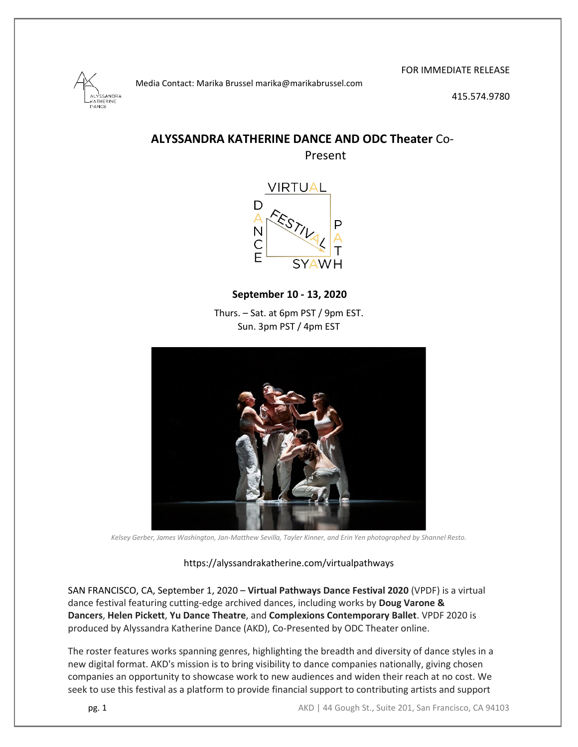SANDRA THERINE ANCE

FOR IMMEDIATE RELEASE

415.574.9780

## **ALYSSANDRA KATHERINE DANCE AND ODC Theater** Co-Present

Media Contact: Marika Brussel marika@marikabrussel.com



**September 10 - 13, 2020**

Thurs. – Sat. at 6pm PST / 9pm EST. Sun. 3pm PST / 4pm EST



*Kelsey Gerber, James Washington, Jan-Matthew Sevilla, Tayler Kinner, and Erin Yen photographed by Shannel Resto.*

#### https://alyssandrakatherine.com/virtualpathways

SAN FRANCISCO, CA, September 1, 2020 – **Virtual Pathways Dance Festival 2020** (VPDF) is a virtual dance festival featuring cutting-edge archived dances, including works by **Doug Varone & Dancers**, **Helen Pickett**, **Yu Dance Theatre**, and **Complexions Contemporary Ballet**. VPDF 2020 is produced by Alyssandra Katherine Dance (AKD), Co-Presented by ODC Theater online.

The roster features works spanning genres, highlighting the breadth and diversity of dance styles in a new digital format. AKD's mission is to bring visibility to dance companies nationally, giving chosen companies an opportunity to showcase work to new audiences and widen their reach at no cost. We seek to use this festival as a platform to provide financial support to contributing artists and support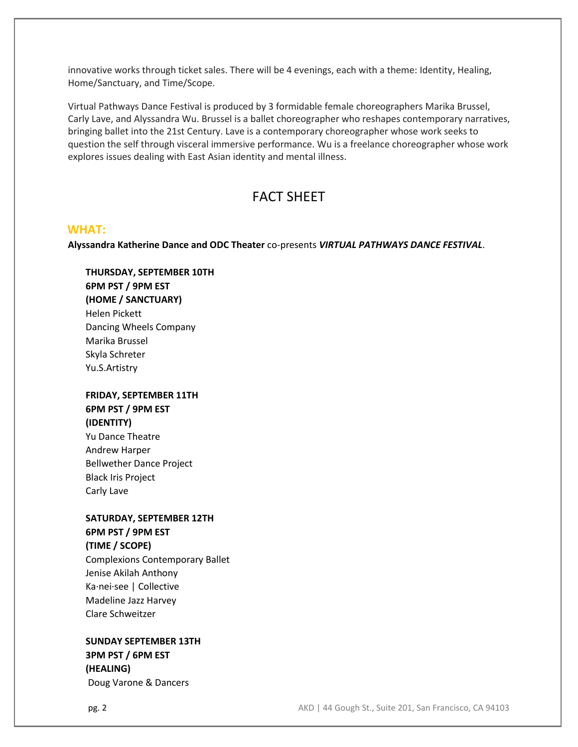innovative works through ticket sales. There will be 4 evenings, each with a theme: Identity, Healing, Home/Sanctuary, and Time/Scope.

Virtual Pathways Dance Festival is produced by 3 formidable female choreographers Marika Brussel, Carly Lave, and Alyssandra Wu. Brussel is a ballet choreographer who reshapes contemporary narratives, bringing ballet into the 21st Century. Lave is a contemporary choreographer whose work seeks to question the self through visceral immersive performance. Wu is a freelance choreographer whose work explores issues dealing with East Asian identity and mental illness.

# FACT SHEET

### **WHAT:**

**Alyssandra Katherine Dance and ODC Theater** co-presents *VIRTUAL PATHWAYS DANCE FESTIVAL*.

**THURSDAY, SEPTEMBER 10TH 6PM PST / 9PM EST (HOME / SANCTUARY)** Helen Pickett Dancing Wheels Company Marika Brussel Skyla Schreter Yu.S.Artistry

## **FRIDAY, SEPTEMBER 11TH 6PM PST / 9PM EST (IDENTITY)**

Yu Dance Theatre Andrew Harper Bellwether Dance Project Black Iris Project Carly Lave

### **SATURDAY, SEPTEMBER 12TH 6PM PST / 9PM EST**

**(TIME / SCOPE)**

Complexions Contemporary Ballet Jenise Akilah Anthony Ka·nei·see | Collective Madeline Jazz Harvey Clare Schweitzer

## **SUNDAY SEPTEMBER 13TH 3PM PST / 6PM EST (HEALING)** Doug Varone & Dancers